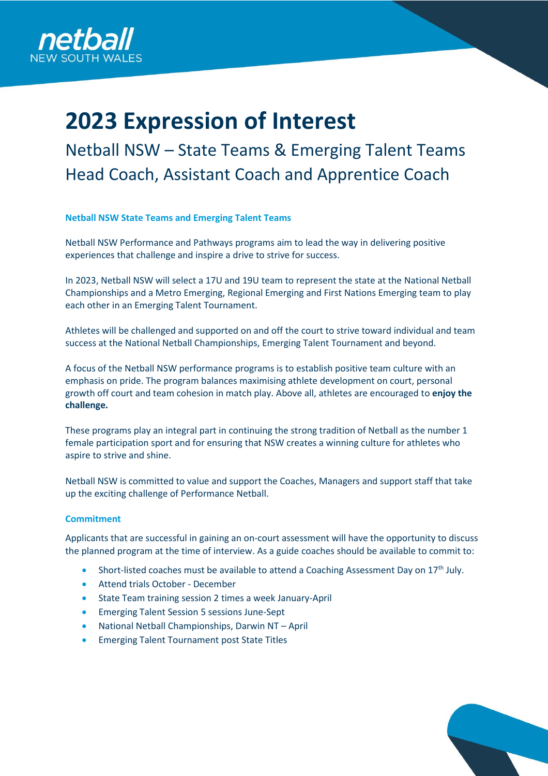

# **2023 Expression of Interest**

Netball NSW – State Teams & Emerging Talent Teams Head Coach, Assistant Coach and Apprentice Coach

### **Netball NSW State Teams and Emerging Talent Teams**

Netball NSW Performance and Pathways programs aim to lead the way in delivering positive experiences that challenge and inspire a drive to strive for success.

In 2023, Netball NSW will select a 17U and 19U team to represent the state at the National Netball Championships and a Metro Emerging, Regional Emerging and First Nations Emerging team to play each other in an Emerging Talent Tournament.

Athletes will be challenged and supported on and off the court to strive toward individual and team success at the National Netball Championships, Emerging Talent Tournament and beyond.

A focus of the Netball NSW performance programs is to establish positive team culture with an emphasis on pride. The program balances maximising athlete development on court, personal growth off court and team cohesion in match play. Above all, athletes are encouraged to **enjoy the challenge.**

These programs play an integral part in continuing the strong tradition of Netball as the number 1 female participation sport and for ensuring that NSW creates a winning culture for athletes who aspire to strive and shine.

Netball NSW is committed to value and support the Coaches, Managers and support staff that take up the exciting challenge of Performance Netball.

### **Commitment**

Applicants that are successful in gaining an on-court assessment will have the opportunity to discuss the planned program at the time of interview. As a guide coaches should be available to commit to:

- Short-listed coaches must be available to attend a Coaching Assessment Day on 17<sup>th</sup> July.
- Attend trials October December
- State Team training session 2 times a week January-April
- Emerging Talent Session 5 sessions June-Sept
- National Netball Championships, Darwin NT April
- Emerging Talent Tournament post State Titles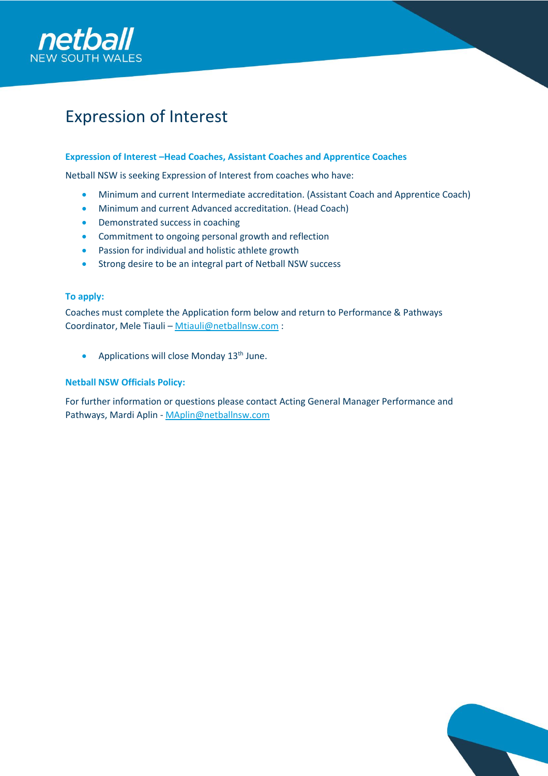

### Expression of Interest

### **Expression of Interest –Head Coaches, Assistant Coaches and Apprentice Coaches**

Netball NSW is seeking Expression of Interest from coaches who have:

- Minimum and current Intermediate accreditation. (Assistant Coach and Apprentice Coach)
- Minimum and current Advanced accreditation. (Head Coach)
- Demonstrated success in coaching
- Commitment to ongoing personal growth and reflection
- Passion for individual and holistic athlete growth
- Strong desire to be an integral part of Netball NSW success

### **To apply:**

Coaches must complete the Application form below and return to Performance & Pathways Coordinator, Mele Tiauli – [Mtiauli@netballnsw.com](mailto:Mtiauli@netballnsw.com) :

• Applications will close Monday 13<sup>th</sup> June.

### **Netball NSW Officials Policy:**

For further information or questions please contact Acting General Manager Performance and Pathways, Mardi Aplin - [MAplin@netballnsw.com](mailto:MAplin@netballnsw.com)

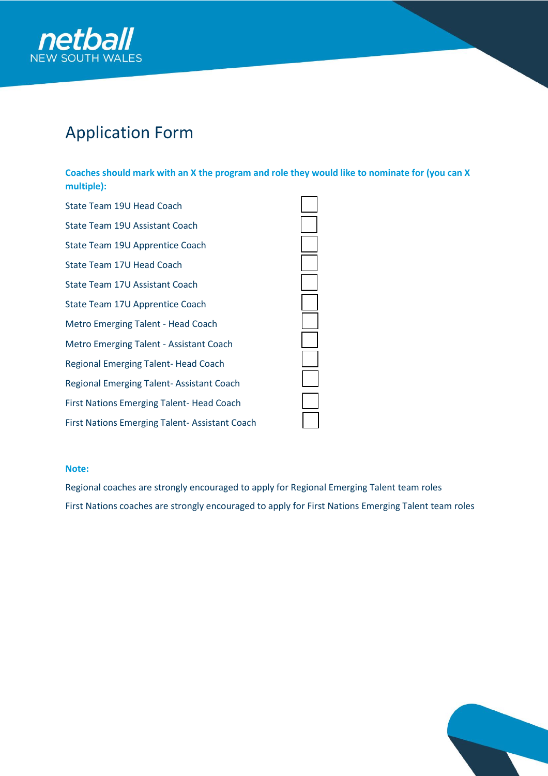

# Application Form

**Coaches should mark with an X the program and role they would like to nominate for (you can X multiple):**

| State Team 19U Head Coach                            |  |
|------------------------------------------------------|--|
| State Team 19U Assistant Coach                       |  |
| State Team 19U Apprentice Coach                      |  |
| State Team 17U Head Coach                            |  |
| State Team 17U Assistant Coach                       |  |
| State Team 17U Apprentice Coach                      |  |
| Metro Emerging Talent - Head Coach                   |  |
| Metro Emerging Talent - Assistant Coach              |  |
| Regional Emerging Talent-Head Coach                  |  |
| <b>Regional Emerging Talent-Assistant Coach</b>      |  |
| <b>First Nations Emerging Talent- Head Coach</b>     |  |
| <b>First Nations Emerging Talent-Assistant Coach</b> |  |

#### **Note:**

Regional coaches are strongly encouraged to apply for Regional Emerging Talent team roles First Nations coaches are strongly encouraged to apply for First Nations Emerging Talent team roles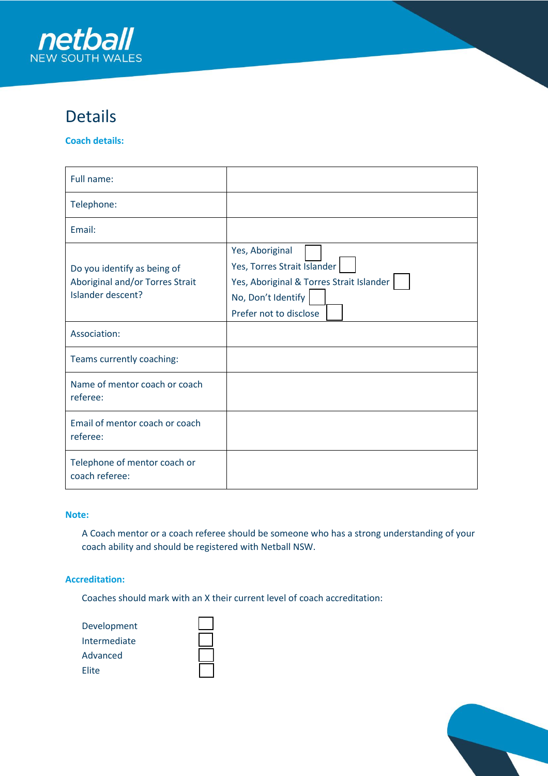

### Details

**Coach details:**

| Full name:                                                                          |                                                                                                                                            |
|-------------------------------------------------------------------------------------|--------------------------------------------------------------------------------------------------------------------------------------------|
| Telephone:                                                                          |                                                                                                                                            |
| Email:                                                                              |                                                                                                                                            |
| Do you identify as being of<br>Aboriginal and/or Torres Strait<br>Islander descent? | Yes, Aboriginal<br>Yes, Torres Strait Islander<br>Yes, Aboriginal & Torres Strait Islander<br>No, Don't Identify<br>Prefer not to disclose |
| Association:                                                                        |                                                                                                                                            |
| Teams currently coaching:                                                           |                                                                                                                                            |
| Name of mentor coach or coach<br>referee:                                           |                                                                                                                                            |
| Email of mentor coach or coach<br>referee:                                          |                                                                                                                                            |
| Telephone of mentor coach or<br>coach referee:                                      |                                                                                                                                            |

### **Note:**

A Coach mentor or a coach referee should be someone who has a strong understanding of your coach ability and should be registered with Netball NSW.

### **Accreditation:**

Coaches should mark with an X their current level of coach accreditation:

| Development  |  |
|--------------|--|
| Intermediate |  |
| Advanced     |  |
| <b>Elite</b> |  |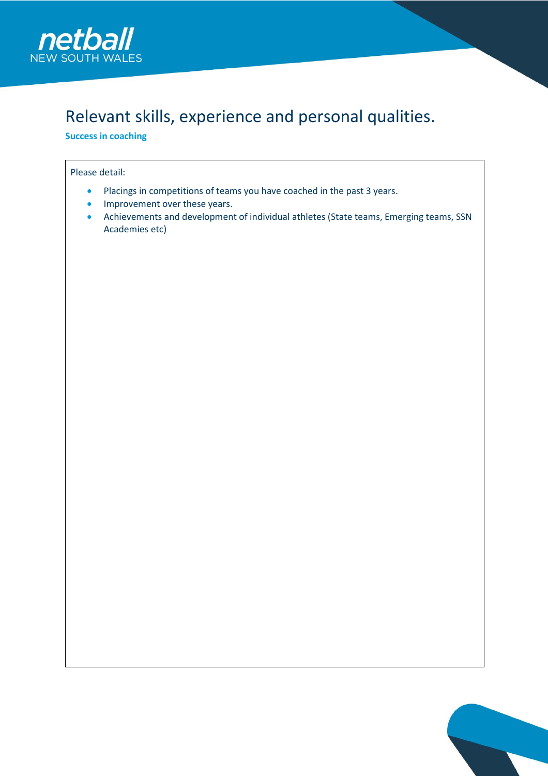

## Relevant skills, experience and personal qualities.

**Success in coaching** 

### Please detail:

- Placings in competitions of teams you have coached in the past 3 years.
- Improvement over these years.
- Achievements and development of individual athletes (State teams, Emerging teams, SSN Academies etc)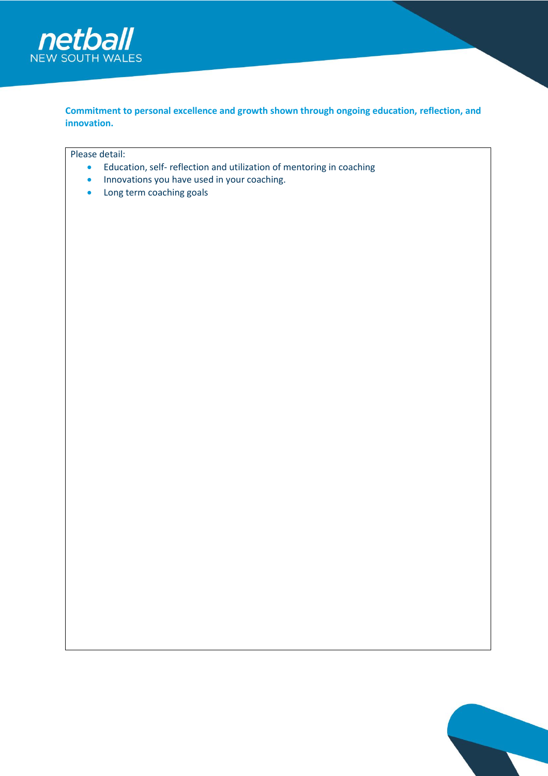

**Commitment to personal excellence and growth shown through ongoing education, reflection, and innovation.**

Please detail:

- Education, self- reflection and utilization of mentoring in coaching
- Innovations you have used in your coaching.
- Long term coaching goals